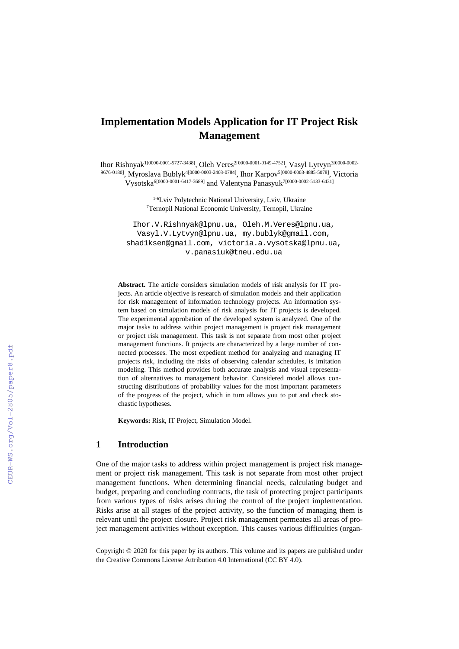# **Implementation Models Application for IT Project Risk Management**

Ihor Rishnyak1[0000-0001-5727-3438], Oleh Veres2[0000-0001-9149-4752], Vasyl Lytvyn3[0000-0002- 9676-0180], Myroslava Bublyk<sup>4[0000-0003-2403-0784]</sup>, Ihor Karpov<sup>5[0000-0003-4885-5078], Victoria</sup> Vysotska6[0000-0001-6417-3689] and Valentyna Panasyuk7[0000-0002-5133-6431]

> 1-6Lviv Polytechnic National University, Lviv, Ukraine 7Ternopil National Economic University, Ternopil, Ukraine

[Ihor.V.Rishnyak@lpnu.ua,](mailto:Ihor.V.Rishnyak@lpnu.ua) [Oleh.M.Veres@lpnu.ua,](mailto:Oleh.M.Veres@lpnu.ua) [Vasyl.V.Lytvyn@lpnu.ua,](mailto:Vasyl.V.Lytvyn@lpnu.ua) [my.bublyk@gmail.com,](mailto:my.bublyk@gmail.com) [shad1ksen@gmail.com,](mailto:shad1ksen@gmail.com) [victoria.a.vysotska@lpnu.ua,](mailto:victoria.a.vysotska@lpnu.ua) v.panasiuk@tneu.edu.ua

**Abstract.** The article considers simulation models of risk analysis for IT projects. An article objective is research of simulation models and their application for risk management of information technology projects. An information system based on simulation models of risk analysis for IT projects is developed. The experimental approbation of the developed system is analyzed. One of the major tasks to address within project management is project risk management or project risk management. This task is not separate from most other project management functions. It projects are characterized by a large number of connected processes. The most expedient method for analyzing and managing IT projects risk, including the risks of observing calendar schedules, is imitation modeling. This method provides both accurate analysis and visual representation of alternatives to management behavior. Considered model allows constructing distributions of probability values for the most important parameters of the progress of the project, which in turn allows you to put and check stochastic hypotheses.

**Keywords:** Risk, IT Project, Simulation Model.

### **1 Introduction**

One of the major tasks to address within project management is project risk management or project risk management. This task is not separate from most other project management functions. When determining financial needs, calculating budget and budget, preparing and concluding contracts, the task of protecting project participants from various types of risks arises during the control of the project implementation. Risks arise at all stages of the project activity, so the function of managing them is relevant until the project closure. Project risk management permeates all areas of project management activities without exception. This causes various difficulties (organ-

Copyright © 2020 for this paper by its authors. This volume and its papers are published under the Creative Commons License Attribution 4.0 International (CC BY 4.0).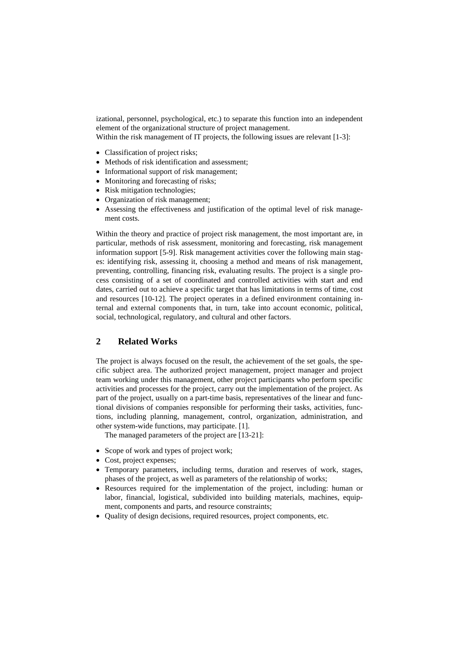izational, personnel, psychological, etc.) to separate this function into an independent element of the organizational structure of project management. Within the risk management of IT projects, the following issues are relevant [1-3]:

- Classification of project risks;
- Methods of risk identification and assessment;
- Informational support of risk management;
- Monitoring and forecasting of risks;
- Risk mitigation technologies;
- Organization of risk management;
- Assessing the effectiveness and justification of the optimal level of risk management costs.

Within the theory and practice of project risk management, the most important are, in particular, methods of risk assessment, monitoring and forecasting, risk management information support [5-9]. Risk management activities cover the following main stages: identifying risk, assessing it, choosing a method and means of risk management, preventing, controlling, financing risk, evaluating results. The project is a single process consisting of a set of coordinated and controlled activities with start and end dates, carried out to achieve a specific target that has limitations in terms of time, cost and resources [10-12]. The project operates in a defined environment containing internal and external components that, in turn, take into account economic, political, social, technological, regulatory, and cultural and other factors.

# **2 Related Works**

The project is always focused on the result, the achievement of the set goals, the specific subject area. The authorized project management, project manager and project team working under this management, other project participants who perform specific activities and processes for the project, carry out the implementation of the project. As part of the project, usually on a part-time basis, representatives of the linear and functional divisions of companies responsible for performing their tasks, activities, functions, including planning, management, control, organization, administration, and other system-wide functions, may participate. [1].

The managed parameters of the project are [13-21]:

- Scope of work and types of project work;
- Cost, project expenses;
- Temporary parameters, including terms, duration and reserves of work, stages, phases of the project, as well as parameters of the relationship of works;
- Resources required for the implementation of the project, including: human or labor, financial, logistical, subdivided into building materials, machines, equipment, components and parts, and resource constraints;
- Quality of design decisions, required resources, project components, etc.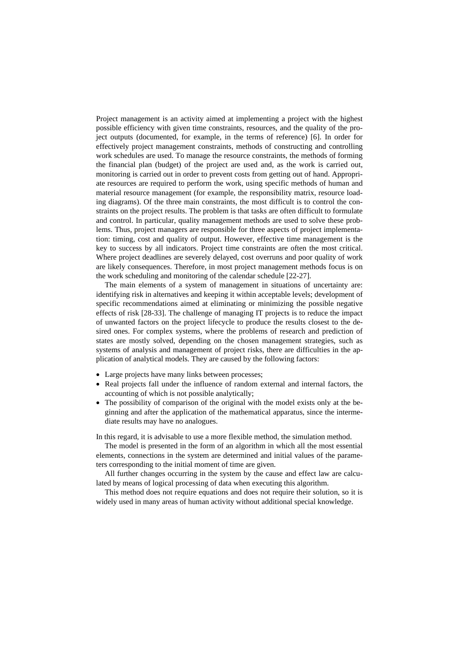Project management is an activity aimed at implementing a project with the highest possible efficiency with given time constraints, resources, and the quality of the project outputs (documented, for example, in the terms of reference) [6]. In order for effectively project management constraints, methods of constructing and controlling work schedules are used. To manage the resource constraints, the methods of forming the financial plan (budget) of the project are used and, as the work is carried out, monitoring is carried out in order to prevent costs from getting out of hand. Appropriate resources are required to perform the work, using specific methods of human and material resource management (for example, the responsibility matrix, resource loading diagrams). Of the three main constraints, the most difficult is to control the constraints on the project results. The problem is that tasks are often difficult to formulate and control. In particular, quality management methods are used to solve these problems. Thus, project managers are responsible for three aspects of project implementation: timing, cost and quality of output. However, effective time management is the key to success by all indicators. Project time constraints are often the most critical. Where project deadlines are severely delayed, cost overruns and poor quality of work are likely consequences. Therefore, in most project management methods focus is on the work scheduling and monitoring of the calendar schedule [22-27].

The main elements of a system of management in situations of uncertainty are: identifying risk in alternatives and keeping it within acceptable levels; development of specific recommendations aimed at eliminating or minimizing the possible negative effects of risk [28-33]. The challenge of managing IT projects is to reduce the impact of unwanted factors on the project lifecycle to produce the results closest to the desired ones. For complex systems, where the problems of research and prediction of states are mostly solved, depending on the chosen management strategies, such as systems of analysis and management of project risks, there are difficulties in the application of analytical models. They are caused by the following factors:

- Large projects have many links between processes;
- Real projects fall under the influence of random external and internal factors, the accounting of which is not possible analytically;
- The possibility of comparison of the original with the model exists only at the beginning and after the application of the mathematical apparatus, since the intermediate results may have no analogues.

In this regard, it is advisable to use a more flexible method, the simulation method.

The model is presented in the form of an algorithm in which all the most essential elements, connections in the system are determined and initial values of the parameters corresponding to the initial moment of time are given.

All further changes occurring in the system by the cause and effect law are calculated by means of logical processing of data when executing this algorithm.

This method does not require equations and does not require their solution, so it is widely used in many areas of human activity without additional special knowledge.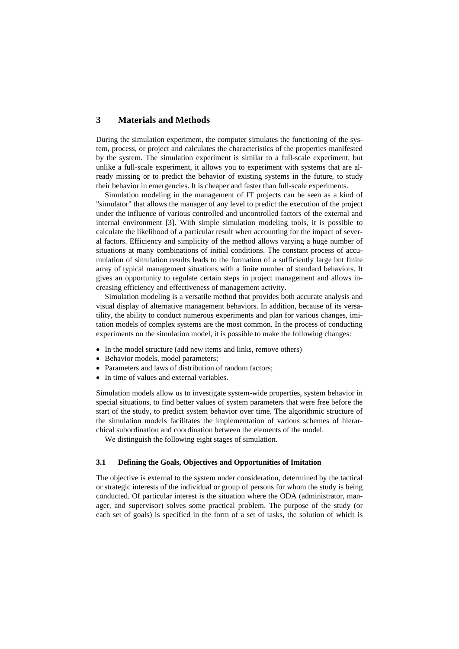# **3 Materials and Methods**

During the simulation experiment, the computer simulates the functioning of the system, process, or project and calculates the characteristics of the properties manifested by the system. The simulation experiment is similar to a full-scale experiment, but unlike a full-scale experiment, it allows you to experiment with systems that are already missing or to predict the behavior of existing systems in the future, to study their behavior in emergencies. It is cheaper and faster than full-scale experiments.

Simulation modeling in the management of IT projects can be seen as a kind of "simulator" that allows the manager of any level to predict the execution of the project under the influence of various controlled and uncontrolled factors of the external and internal environment [3]. With simple simulation modeling tools, it is possible to calculate the likelihood of a particular result when accounting for the impact of several factors. Efficiency and simplicity of the method allows varying a huge number of situations at many combinations of initial conditions. The constant process of accumulation of simulation results leads to the formation of a sufficiently large but finite array of typical management situations with a finite number of standard behaviors. It gives an opportunity to regulate certain steps in project management and allows increasing efficiency and effectiveness of management activity.

Simulation modeling is a versatile method that provides both accurate analysis and visual display of alternative management behaviors. In addition, because of its versatility, the ability to conduct numerous experiments and plan for various changes, imitation models of complex systems are the most common. In the process of conducting experiments on the simulation model, it is possible to make the following changes:

- In the model structure (add new items and links, remove others)
- Behavior models, model parameters;
- Parameters and laws of distribution of random factors:
- In time of values and external variables.

Simulation models allow us to investigate system-wide properties, system behavior in special situations, to find better values of system parameters that were free before the start of the study, to predict system behavior over time. The algorithmic structure of the simulation models facilitates the implementation of various schemes of hierarchical subordination and coordination between the elements of the model.

We distinguish the following eight stages of simulation.

### **3.1 Defining the Goals, Objectives and Opportunities of Imitation**

The objective is external to the system under consideration, determined by the tactical or strategic interests of the individual or group of persons for whom the study is being conducted. Of particular interest is the situation where the ODA (administrator, manager, and supervisor) solves some practical problem. The purpose of the study (or each set of goals) is specified in the form of a set of tasks, the solution of which is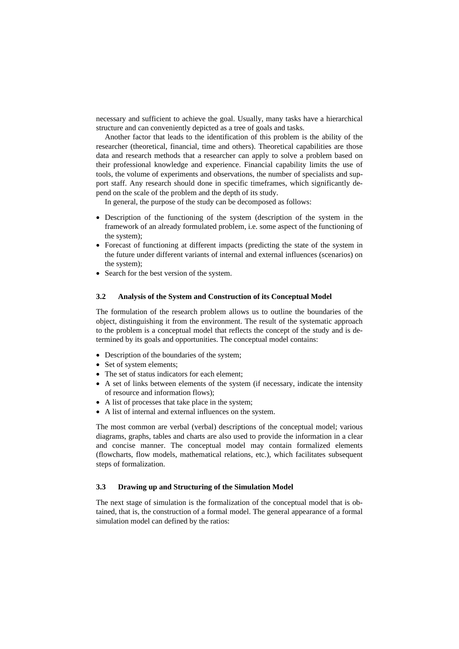necessary and sufficient to achieve the goal. Usually, many tasks have a hierarchical structure and can conveniently depicted as a tree of goals and tasks.

Another factor that leads to the identification of this problem is the ability of the researcher (theoretical, financial, time and others). Theoretical capabilities are those data and research methods that a researcher can apply to solve a problem based on their professional knowledge and experience. Financial capability limits the use of tools, the volume of experiments and observations, the number of specialists and support staff. Any research should done in specific timeframes, which significantly depend on the scale of the problem and the depth of its study.

In general, the purpose of the study can be decomposed as follows:

- Description of the functioning of the system (description of the system in the framework of an already formulated problem, i.e. some aspect of the functioning of the system);
- Forecast of functioning at different impacts (predicting the state of the system in the future under different variants of internal and external influences (scenarios) on the system);
- Search for the best version of the system.

#### **3.2 Analysis of the System and Construction of its Conceptual Model**

The formulation of the research problem allows us to outline the boundaries of the object, distinguishing it from the environment. The result of the systematic approach to the problem is a conceptual model that reflects the concept of the study and is determined by its goals and opportunities. The conceptual model contains:

- Description of the boundaries of the system;
- Set of system elements;
- The set of status indicators for each element;
- A set of links between elements of the system (if necessary, indicate the intensity of resource and information flows);
- A list of processes that take place in the system;
- A list of internal and external influences on the system.

The most common are verbal (verbal) descriptions of the conceptual model; various diagrams, graphs, tables and charts are also used to provide the information in a clear and concise manner. The conceptual model may contain formalized elements (flowcharts, flow models, mathematical relations, etc.), which facilitates subsequent steps of formalization.

#### **3.3 Drawing up and Structuring of the Simulation Model**

The next stage of simulation is the formalization of the conceptual model that is obtained, that is, the construction of a formal model. The general appearance of a formal simulation model can defined by the ratios: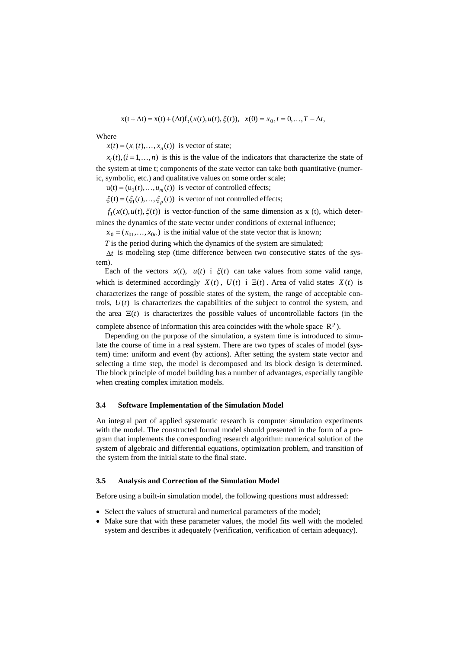$$
x(t + \Delta t) = x(t) + (\Delta t)f_t(x(t), u(t), \xi(t)), \quad x(0) = x_0, t = 0, \dots, T - \Delta t,
$$

#### Where

 $x(t) = (x_1(t), \dots, x_n(t))$  is vector of state;

 $x_i(t)$ ,  $(i = 1, \ldots, n)$  is this is the value of the indicators that characterize the state of the system at time t; components of the state vector can take both quantitative (numeric, symbolic, etc.) and qualitative values on some order scale;

 $u(t) = (u_1 ( t), \dots, u_m ( t))$  is vector of controlled effects;

 $\xi(t) = (\xi_1(t), \dots, \xi_n(t))$  is vector of not controlled effects;

 $f_1(x(t), u(t), \xi(t))$  is vector-function of the same dimension as x (t), which deter-

mines the dynamics of the state vector under conditions of external influence;

 $x_0 = (x_{01},...,x_{0n})$  is the initial value of the state vector that is known;

*T* is the period during which the dynamics of the system are simulated;

∆*t* is modeling step (time difference between two consecutive states of the system).

Each of the vectors  $x(t)$ ,  $u(t)$  i  $\xi(t)$  can take values from some valid range, which is determined accordingly  $X(t)$ ,  $U(t)$  i  $\Xi(t)$ . Area of valid states  $X(t)$  is characterizes the range of possible states of the system, the range of acceptable controls,  $U(t)$  is characterizes the capabilities of the subject to control the system, and the area  $\Xi(t)$  is characterizes the possible values of uncontrollable factors (in the

complete absence of information this area coincides with the whole space  $R^p$ ).

Depending on the purpose of the simulation, a system time is introduced to simulate the course of time in a real system. There are two types of scales of model (system) time: uniform and event (by actions). After setting the system state vector and selecting a time step, the model is decomposed and its block design is determined. The block principle of model building has a number of advantages, especially tangible when creating complex imitation models.

#### **3.4 Software Implementation of the Simulation Model**

An integral part of applied systematic research is computer simulation experiments with the model. The constructed formal model should presented in the form of a program that implements the corresponding research algorithm: numerical solution of the system of algebraic and differential equations, optimization problem, and transition of the system from the initial state to the final state.

### **3.5 Analysis and Correction of the Simulation Model**

Before using a built-in simulation model, the following questions must addressed:

- Select the values of structural and numerical parameters of the model;
- Make sure that with these parameter values, the model fits well with the modeled system and describes it adequately (verification, verification of certain adequacy).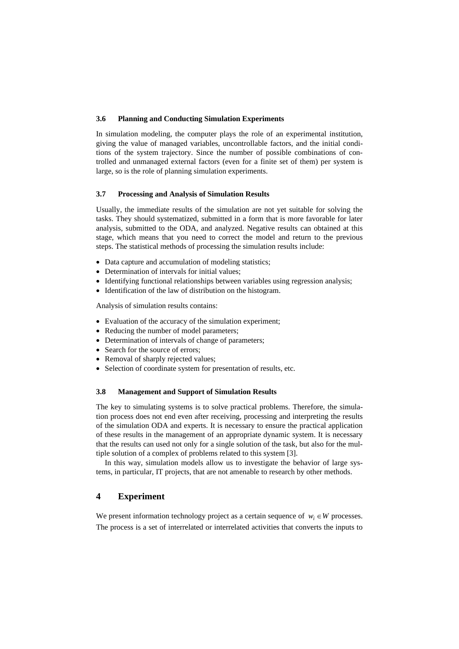### **3.6 Planning and Conducting Simulation Experiments**

In simulation modeling, the computer plays the role of an experimental institution, giving the value of managed variables, uncontrollable factors, and the initial conditions of the system trajectory. Since the number of possible combinations of controlled and unmanaged external factors (even for a finite set of them) per system is large, so is the role of planning simulation experiments.

### **3.7 Processing and Analysis of Simulation Results**

Usually, the immediate results of the simulation are not yet suitable for solving the tasks. They should systematized, submitted in a form that is more favorable for later analysis, submitted to the ODA, and analyzed. Negative results can obtained at this stage, which means that you need to correct the model and return to the previous steps. The statistical methods of processing the simulation results include:

- Data capture and accumulation of modeling statistics;
- Determination of intervals for initial values;
- Identifying functional relationships between variables using regression analysis;
- Identification of the law of distribution on the histogram.

Analysis of simulation results contains:

- Evaluation of the accuracy of the simulation experiment;
- Reducing the number of model parameters;
- Determination of intervals of change of parameters;
- Search for the source of errors:
- Removal of sharply rejected values;
- Selection of coordinate system for presentation of results, etc.

#### **3.8 Management and Support of Simulation Results**

The key to simulating systems is to solve practical problems. Therefore, the simulation process does not end even after receiving, processing and interpreting the results of the simulation ODA and experts. It is necessary to ensure the practical application of these results in the management of an appropriate dynamic system. It is necessary that the results can used not only for a single solution of the task, but also for the multiple solution of a complex of problems related to this system [3].

In this way, simulation models allow us to investigate the behavior of large systems, in particular, IT projects, that are not amenable to research by other methods.

# **4 Experiment**

We present information technology project as a certain sequence of  $w_i \in W$  processes. The process is a set of interrelated or interrelated activities that converts the inputs to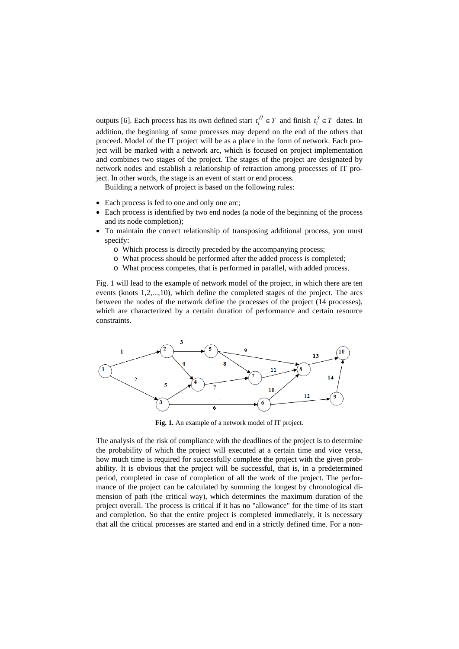outputs [6]. Each process has its own defined start  $t_i^T \in T$  and finish  $t_i^3 \in T$  dates. In addition, the beginning of some processes may depend on the end of the others that proceed. Model of the IT project will be as a place in the form of network. Each project will be marked with a network arc, which is focused on project implementation and combines two stages of the project. The stages of the project are designated by network nodes and establish a relationship of retraction among processes of IT project. In other words, the stage is an event of start or end process.

Building a network of project is based on the following rules:

- Each process is fed to one and only one arc;
- Each process is identified by two end nodes (a node of the beginning of the process and its node completion);
- To maintain the correct relationship of transposing additional process, you must specify:
	- o Which process is directly preceded by the accompanying process;
	- o What process should be performed after the added process is completed;
	- o What process competes, that is performed in parallel, with added process.

Fig. 1 will lead to the example of network model of the project, in which there are ten events (knots 1,2,...,10), which define the completed stages of the project. The arcs between the nodes of the network define the processes of the project (14 processes), which are characterized by a certain duration of performance and certain resource constraints.



**Fig. 1.** An example of a network model of IT project.

The analysis of the risk of compliance with the deadlines of the project is to determine the probability of which the project will executed at a certain time and vice versa, how much time is required for successfully complete the project with the given probability. It is obvious that the project will be successful, that is, in a predetermined period, completed in case of completion of all the work of the project. The performance of the project can be calculated by summing the longest by chronological dimension of path (the critical way), which determines the maximum duration of the project overall. The process is critical if it has no "allowance" for the time of its start and completion. So that the entire project is completed immediately, it is necessary that all the critical processes are started and end in a strictly defined time. For a non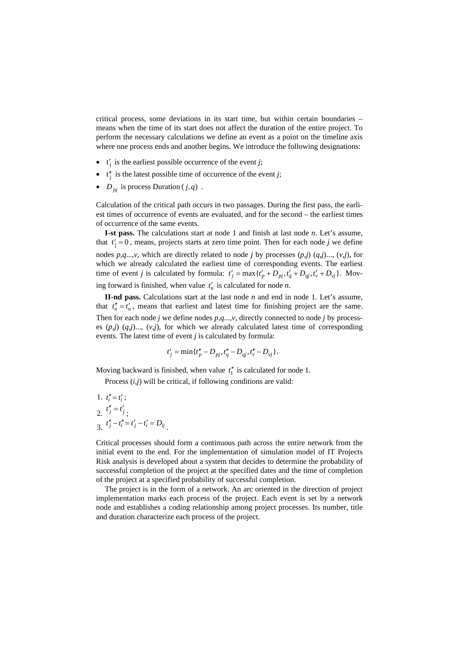critical process, some deviations in its start time, but within certain boundaries – means when the time of its start does not affect the duration of the entire project. To perform the necessary calculations we define an event as a point on the timeline axis where one process ends and another begins. We introduce the following designations:

- $t'_i$  is the earliest possible occurrence of the event *j*;
- $t''_i$  is the latest possible time of occurrence of the event *j*;
- *D<sub>iq</sub>* is process Duration  $(j, q)$ .

Calculation of the critical path occurs in two passages. During the first pass, the earliest times of occurrence of events are evaluated, and for the second – the earliest times of occurrence of the same events.

**І-st pass.** The calculations start at node 1 and finish at last node *n*. Let's assume, that  $t'_j = 0$ , means, projects starts at zero time point. Then for each node *j* we define nodes  $p, q, ..., v$ , which are directly related to node *j* by processes  $(p, j)$   $(q, j)$ ...,  $(v, j)$ , for which we already calculated the earliest time of corresponding events. The earliest time of event *j* is calculated by formula:  $t'_i = \max\{t'_p + D_{pi}, t'_q + D_{qi}, t'_v + D_{vi}\}.$  Moving forward is finished, when value  $t'_n$  is calculated for node *n*.

**ІІ-nd pass.** Calculations start at the last node *n* and end in node 1. Let's assume, that  $t''_n = t'_n$ , means that earliest and latest time for finishing project are the same. Then for each node *j* we define nodes *p*,*q*...,*v*, directly connected to node *j* by processes  $(p, j)$   $(q, j)$ ...,  $(v, j)$ , for which we already calculated latest time of corresponding events. The latest time of event *j* is calculated by formula:

$$
t'_{j} = \min\{t''_{p} - D_{pj}, t''_{q} - D_{qj}, t''_{v} - D_{vj}\}.
$$

Moving backward is finished, when value  $t_1''$  is calculated for node 1.

Process (*i*,*j*) will be critical, if following conditions are valid:

1.  $t''_i = t'_i$ ; 2.  $t''_j = t'_j$ ; 3.  $t''_j - t''_i = t'_j - t'_i = D_{ij}$ 

Critical processes should form a continuous path across the entire network from the initial event to the end. For the implementation of simulation model of IT Projects Risk analysis is developed about a system that decides to determine the probability of successful completion of the project at the specified dates and the time of completion of the project at a specified probability of successful completion.

The project is in the form of a network. An arc oriented in the direction of project implementation marks each process of the project. Each event is set by a network node and establishes a coding relationship among project processes. Its number, title and duration characterize each process of the project.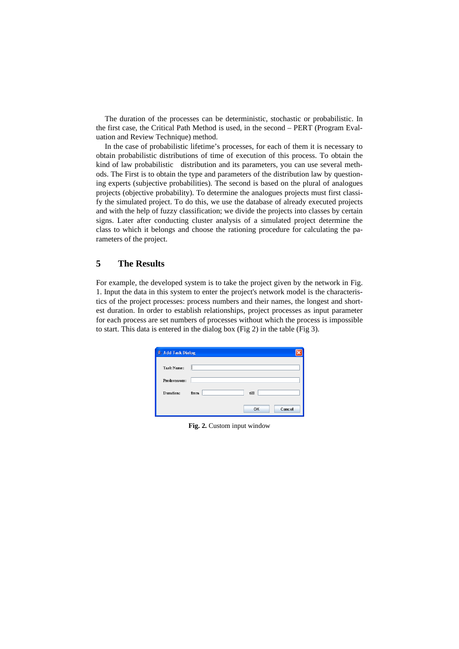The duration of the processes can be deterministic, stochastic or probabilistic. In the first case, the Critical Path Method is used, in the second – PERT (Program Evaluation and Review Technique) method.

In the case of probabilistic lifetime's processes, for each of them it is necessary to obtain probabilistic distributions of time of execution of this process. To obtain the kind of law probabilistic distribution and its parameters, you can use several methods. The First is to obtain the type and parameters of the distribution law by questioning experts (subjective probabilities). The second is based on the plural of analogues projects (objective probability). To determine the analogues projects must first classify the simulated project. To do this, we use the database of already executed projects and with the help of fuzzy classification; we divide the projects into classes by certain signs. Later after conducting cluster analysis of a simulated project determine the class to which it belongs and choose the rationing procedure for calculating the parameters of the project.

# **5 The Results**

For example, the developed system is to take the project given by the network in Fig. 1. Input the data in this system to enter the project's network model is the characteristics of the project processes: process numbers and their names, the longest and shortest duration. In order to establish relationships, project processes as input parameter for each process are set numbers of processes without which the process is impossible to start. This data is entered in the dialog box (Fig 2) in the table (Fig 3).

| Add Task Dialog |              |  |
|-----------------|--------------|--|
| Task Name:      |              |  |
| Predecessors:   |              |  |
| Duration:       | till<br>from |  |
|                 | Cancel<br>OK |  |

**Fig. 2.** Custom input window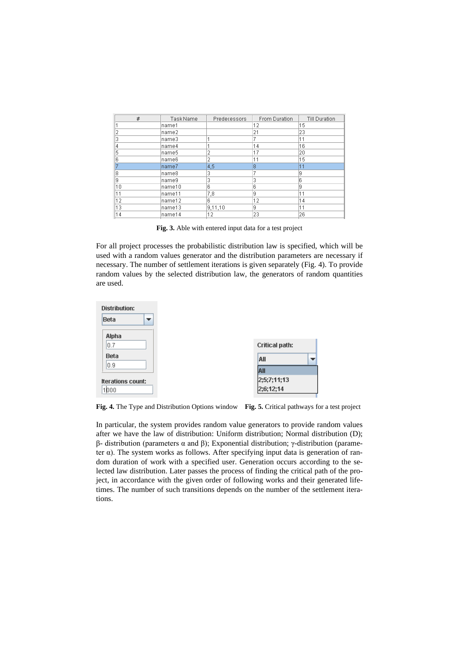| #  | Task Name | Predecessors | From Duration | <b>Till Duration</b> |
|----|-----------|--------------|---------------|----------------------|
|    | name1     |              | 12            | 15                   |
| 2  | lname2    |              | 21            | 23                   |
| 3  | name3     |              | 7             | 11                   |
| 4  | name4     |              | 14            | 16                   |
| 5  | lname5    | 2            | 17            | 20                   |
| 6  | name6     | 2            | 11            | 15                   |
|    | name7     | 4,5          | 8             | 11                   |
| 8  | lname8    | 3            |               | 9                    |
| 9  | name9     | 3            | 3             | ß                    |
| 10 | lname10   | 6            | 6             | 9                    |
| 11 | name11    | 7,8          | Ι9            | 11                   |
| 12 | name12    | 6            | 12            | 14                   |
| 13 | lname13   | 9,11,10      | 9             | 11                   |
| 14 | name14    | 12           | 23            | 26                   |

**Fig. 3.** Able with entered input data for a test project

For all project processes the probabilistic distribution law is specified, which will be used with a random values generator and the distribution parameters are necessary if necessary. The number of settlement iterations is given separately (Fig. 4). To provide random values by the selected distribution law, the generators of random quantities are used.



**Fig. 4.** The Type and Distribution Options window **Fig. 5.** Critical pathways for a test project

In particular, the system provides random value generators to provide random values after we have the law of distribution: Uniform distribution; Normal distribution (D); β- distribution (parameters α and β); Exponential distribution; γ-distribution (parameter  $\alpha$ ). The system works as follows. After specifying input data is generation of random duration of work with a specified user. Generation occurs according to the selected law distribution. Later passes the process of finding the critical path of the project, in accordance with the given order of following works and their generated lifetimes. The number of such transitions depends on the number of the settlement iterations.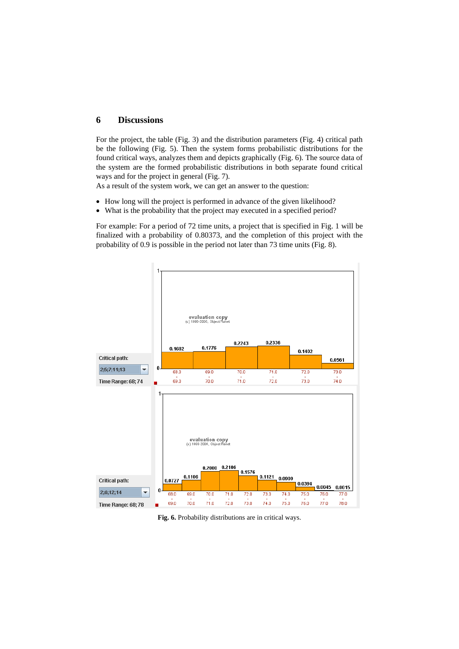### **6 Discussions**

For the project, the table (Fig. 3) and the distribution parameters (Fig. 4) critical path be the following (Fig. 5). Then the system forms probabilistic distributions for the found critical ways, analyzes them and depicts graphically (Fig. 6). The source data of the system are the formed probabilistic distributions in both separate found critical ways and for the project in general (Fig. 7).

As a result of the system work, we can get an answer to the question:

- How long will the project is performed in advance of the given likelihood?
- What is the probability that the project may executed in a specified period?

For example: For a period of 72 time units, a project that is specified in Fig. 1 will be finalized with a probability of 0.80373, and the completion of this project with the probability of 0.9 is possible in the period not later than 73 time units (Fig. 8).



**Fig. 6.** Probability distributions are in critical ways.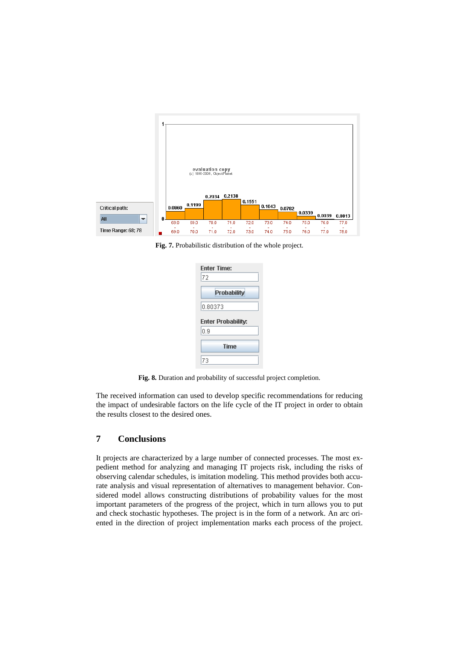

**Fig. 7.** Probabilistic distribution of the whole project.

| <b>Enter Time:</b> |
|--------------------|
| 72                 |
| Probability        |
| 0.80373            |
|                    |
| Enter Probability: |
| 0.9                |
| <b>Time</b>        |

**Fig. 8.** Duration and probability of successful project completion.

The received information can used to develop specific recommendations for reducing the impact of undesirable factors on the life cycle of the IT project in order to obtain the results closest to the desired ones.

# **7 Conclusions**

It projects are characterized by a large number of connected processes. The most expedient method for analyzing and managing IT projects risk, including the risks of observing calendar schedules, is imitation modeling. This method provides both accurate analysis and visual representation of alternatives to management behavior. Considered model allows constructing distributions of probability values for the most important parameters of the progress of the project, which in turn allows you to put and check stochastic hypotheses. The project is in the form of a network. An arc oriented in the direction of project implementation marks each process of the project.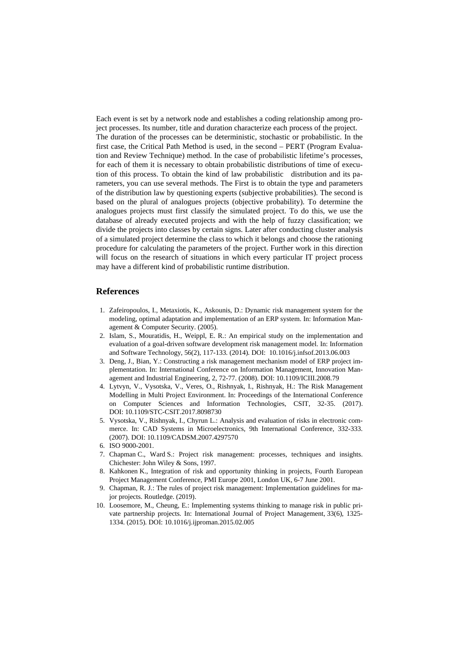Each event is set by a network node and establishes a coding relationship among project processes. Its number, title and duration characterize each process of the project. The duration of the processes can be deterministic, stochastic or probabilistic. In the first case, the Critical Path Method is used, in the second – PERT (Program Evaluation and Review Technique) method. In the case of probabilistic lifetime's processes, for each of them it is necessary to obtain probabilistic distributions of time of execution of this process. To obtain the kind of law probabilistic distribution and its parameters, you can use several methods. The First is to obtain the type and parameters of the distribution law by questioning experts (subjective probabilities). The second is based on the plural of analogues projects (objective probability). To determine the analogues projects must first classify the simulated project. To do this, we use the database of already executed projects and with the help of fuzzy classification; we divide the projects into classes by certain signs. Later after conducting cluster analysis of a simulated project determine the class to which it belongs and choose the rationing procedure for calculating the parameters of the project. Further work in this direction will focus on the research of situations in which every particular IT project process may have a different kind of probabilistic runtime distribution.

### **References**

- 1. Zafeiropoulos, I., Metaxiotis, K., Askounis, D.: Dynamic risk management system for the modeling, optimal adaptation and implementation of an ERP system. In: Information Management & Computer Security. (2005).
- 2. Islam, S., Mouratidis, H., Weippl, E. R.: An empirical study on the implementation and evaluation of a goal-driven software development risk management model. In: Information and Software Technology, 56(2), 117-133. (2014). DOI: 10.1016/j.infsof.2013.06.003
- 3. Deng, J., Bian, Y.: Constructing a risk management mechanism model of ERP project implementation. In: International Conference on Information Management, Innovation Management and Industrial Engineering, 2, 72-77. (2008). DOI: 10.1109/ICIII.2008.79
- 4. Lytvyn, V., Vysotska, V., Veres, O., Rishnyak, I., Rishnyak, H.: The Risk Management Modelling in Multi Project Environment. In: Proceedings of the International Conference on Computer Sciences and Information Technologies, CSIT, 32-35. (2017). DOI: 10.1109/STC-CSIT.2017.8098730
- 5. Vysotska, V., Rishnyak, I., Chyrun L.: Analysis and evaluation of risks in electronic commerce. In: CAD Systems in Microelectronics, 9th International Conference, 332-333. (2007). DOI: 10.1109/CADSM.2007.4297570
- 6. ISO 9000-2001.
- 7. Chapman C., Ward S.: Project risk management: processes, techniques and insights. Chichester: John Wiley & Sons, 1997.
- 8. Kahkonen K., Integration of risk and opportunity thinking in projects, Fourth European Project Management Conference, PMI Europe 2001, London UK, 6-7 June 2001.
- 9. Chapman, R. J.: The rules of project risk management: Implementation guidelines for major projects. Routledge. (2019).
- 10. Loosemore, M., Cheung, E.: Implementing systems thinking to manage risk in public private partnership projects. In: International Journal of Project Management, 33(6), 1325- 1334. (2015). DOI: 10.1016/j.ijproman.2015.02.005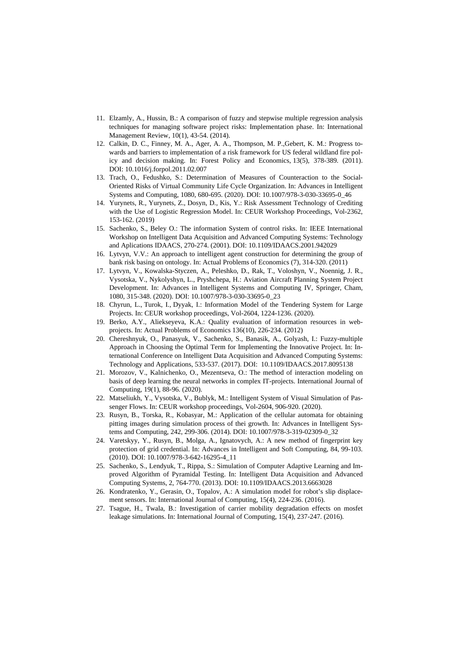- 11. Elzamly, A., Hussin, B.: A comparison of fuzzy and stepwise multiple regression analysis techniques for managing software project risks: Implementation phase. In: International Management Review, 10(1), 43-54. (2014).
- 12. Calkin, D. C., Finney, M. A., Ager, A. A., Thompson, M. P.,Gebert, K. M.: Progress towards and barriers to implementation of a risk framework for US federal wildland fire policy and decision making. In: Forest Policy and Economics, 13(5), 378-389. (2011). DOI: 10.1016/j.forpol.2011.02.007
- 13. Trach, O., Fedushko, S.: Determination of Measures of Counteraction to the Social-Oriented Risks of Virtual Community Life Cycle Organization. In: Advances in Intelligent Systems and Computing, 1080, 680-695. (2020). DOI: 10.1007/978-3-030-33695-0\_46
- 14. Yurynets, R., Yurynets, Z., Dosyn, D., Kis, Y.: Risk Assessment Technology of Crediting with the Use of Logistic Regression Model. In: CEUR Workshop Proceedings, Vol-2362, 153-162. (2019)
- 15. Sachenko, S., Beley O.: The information System of control risks. In: IEEE International Workshop on Intelligent Data Acquisition and Advanced Computing Systems: Technology and Aplications IDAACS, 270-274. (2001). DOI: 10.1109/IDAACS.2001.942029
- 16. Lytvyn, V.V.: An approach to intelligent agent construction for determining the group of bank risk basing on ontology. In: Actual Problems of Economics (7), 314-320. (2011)
- 17. Lytvyn, V., Kowalska-Styczen, A., Peleshko, D., Rak, T., Voloshyn, V., Noennig, J. R., Vysotska, V., Nykolyshyn, L., Pryshchepa, H.: Aviation Aircraft Planning System Project Development. In: Advances in Intelligent Systems and Computing IV, Springer, Cham, 1080, 315-348. (2020). DOI: 10.1007/978-3-030-33695-0\_23
- 18. Chyrun, L., Turok, I., Dyyak, I.: Information Model of the Tendering System for Large Projects. In: CEUR workshop proceedings, Vol-2604, 1224-1236. (2020).
- 19. Berko, A.Y., Aliekseyeva, K.A.: Quality evaluation of information resources in webprojects. In: Actual Problems of Economics 136(10), 226-234. (2012)
- 20. Chereshnyuk, O., Panasyuk, V., Sachenko, S., Banasik, A., Golyash, I.: Fuzzy-multiple Approach in Choosing the Optimal Term for Implementing the Innovative Project. In: International Conference on Intelligent Data Acquisition and Advanced Computing Systems: Technology and Applications, 533-537. (2017). DOI: 10.1109/IDAACS.2017.8095138
- 21. Morozov, V., Kalnichenko, O., Mezentseva, O.: The method of interaction modeling on basis of deep learning the neural networks in complex IT-projects. International Journal of Computing, 19(1), 88-96. (2020).
- 22. Matseliukh, Y., Vysotska, V., Bublyk, M.: Intelligent System of Visual Simulation of Passenger Flows. In: CEUR workshop proceedings, Vol-2604, 906-920. (2020).
- 23. Rusyn, B., Torska, R., Kobasyar, M.: Application of the cellular automata for obtaining pitting images during simulation process of thei growth. In: Advances in Intelligent Systems and Computing, 242, 299-306. (2014). DOI: 10.1007/978-3-319-02309-0\_32
- 24. Varetskyy, Y., Rusyn, B., Molga, A., Ignatovych, A.: A new method of fingerprint key protection of grid credential. In: Advances in Intelligent and Soft Computing, 84, 99-103. (2010). DOI: 10.1007/978-3-642-16295-4\_11
- 25. Sachenko, S., Lendyuk, T., Rippa, S.: Simulation of Computer Adaptive Learning and Improved Algorithm of Pyramidal Testing. In: Intelligent Data Acquisition and Advanced Computing Systems, 2, 764-770. (2013). DOI: 10.1109/IDAACS.2013.6663028
- 26. Kondratenko, Y., Gerasin, O., Topalov, A.: A simulation model for robot's slip displacement sensors. In: International Journal of Computing, 15(4), 224-236. (2016).
- 27. Tsague, H., Twala, B.: Investigation of carrier mobility degradation effects on mosfet leakage simulations. In: International Journal of Computing, 15(4), 237-247. (2016).